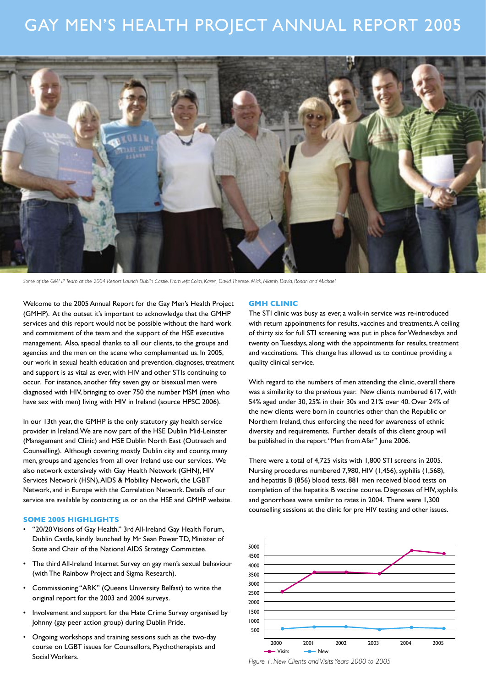# GAY MEN'S HEALTH PROJECT ANNUAL REPORT 2005



*Some of the GMHP Team at the 2004 Report Launch Dublin Castle. From left: Colm, Karen, David, Therese, Mick, Niamh, David, Ronan and Michael.*

Welcome to the 2005 Annual Report for the Gay Men's Health Project (GMHP). At the outset it's important to acknowledge that the GMHP services and this report would not be possible without the hard work and commitment of the team and the support of the HSE executive management. Also, special thanks to all our clients, to the groups and agencies and the men on the scene who complemented us. In 2005, our work in sexual health education and prevention, diagnoses, treatment and support is as vital as ever, with HIV and other STIs continuing to occur. For instance, another fifty seven gay or bisexual men were diagnosed with HIV, bringing to over 750 the number MSM (men who have sex with men) living with HIV in Ireland (source HPSC 2006).

In our 13th year, the GMHP is the only statutory gay health service provider in Ireland. We are now part of the HSE Dublin Mid-Leinster (Management and Clinic) and HSE Dublin North East (Outreach and Counselling). Although covering mostly Dublin city and county, many men, groups and agencies from all over Ireland use our services. We also network extensively with Gay Health Network (GHN), HIV Services Network (HSN), AIDS & Mobility Network, the LGBT Network, and in Europe with the Correlation Network. Details of our service are available by contacting us or on the HSE and GMHP website.

## **SOME 2005 HIGHLIGHTS**

- "20/20 Visions of Gay Health," 3rd All-Ireland Gay Health Forum, Dublin Castle, kindly launched by Mr Sean Power TD, Minister of State and Chair of the National AIDS Strategy Committee.
- The third All-Ireland Internet Survey on gay men's sexual behaviour (with The Rainbow Project and Sigma Research).
- Commissioning "ARK" (Queens University Belfast) to write the original report for the 2003 and 2004 surveys.
- Involvement and support for the Hate Crime Survey organised by Johnny (gay peer action group) during Dublin Pride.
- Ongoing workshops and training sessions such as the two-day course on LGBT issues for Counsellors, Psychotherapists and Social Workers.

## **GMH CLINIC**

The STI clinic was busy as ever, a walk-in service was re-introduced with return appointments for results, vaccines and treatments. A ceiling of thirty six for full STI screening was put in place for Wednesdays and twenty on Tuesdays, along with the appointments for results, treatment and vaccinations. This change has allowed us to continue providing a quality clinical service.

With regard to the numbers of men attending the clinic, overall there was a similarity to the previous year. New clients numbered 617, with 54% aged under 30, 25% in their 30s and 21% over 40. Over 24% of the new clients were born in countries other than the Republic or Northern Ireland, thus enforcing the need for awareness of ethnic diversity and requirements. Further details of this client group will be published in the report "Men from Afar" June 2006.

There were a total of 4,725 visits with 1,800 STI screens in 2005. Nursing procedures numbered 7,980, HIV (1,456), syphilis (1,568), and hepatitis B (856) blood tests. 881 men received blood tests on completion of the hepatitis B vaccine course. Diagnoses of HIV, syphilis and gonorrhoea were similar to rates in 2004. There were 1,300 counselling sessions at the clinic for pre HIV testing and other issues.



*Figure 1. New Clients and Visits Years 2000 to 2005*